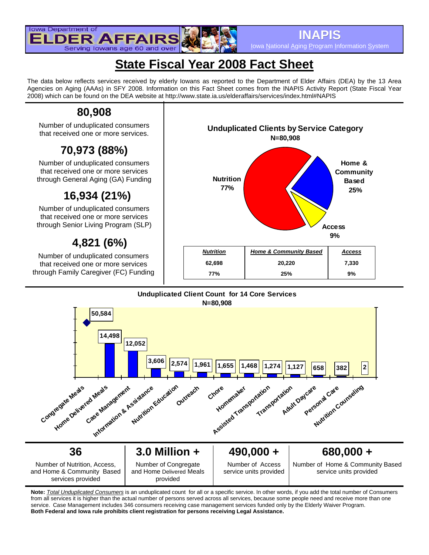

Iowa National Aging Program Information System

# **State Fiscal Year 2008 Fact Sheet**

The data below reflects services received by elderly Iowans as reported to the Department of Elder Affairs (DEA) by the 13 Area Agencies on Aging (AAAs) in SFY 2008. Information on this Fact Sheet comes from the INAPIS Activity Report (State Fiscal Year 2008) which can be found on the DEA website at http://www.state.ia.us/elderaffairs/services/index.html#NAPIS

## **80,908**

Number of unduplicated consumers that received one or more services.

# **70,973 (88%)**

Number of unduplicated consumers that received one or more services through General Aging (GA) Funding

# **16,934 (21%)**

Number of unduplicated consumers that received one or more services through Senior Living Program (SLP)

# **4,821 (6%)**

Number of unduplicated consumers that received one or more services through Family Caregiver (FC) Funding



#### **Unduplicated Client Count for 14 Core Services N=80,908**



**Note:** *Total Unduplicated Consumers* is an unduplicated count for all or a specific service. In other words, if you add the total number of Consumers from all services it is higher than the actual number of persons served across all services, because some people need and receive more than one service. Case Management includes 346 consumers receiving case management services funded only by the Elderly Waiver Program. **Both Federal and Iowa rule prohibits client registration for persons receiving Legal Assistance.**